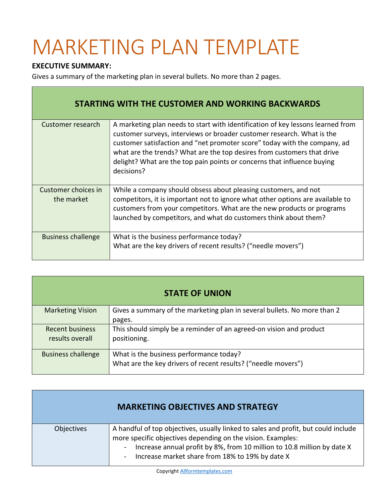## MARKETING PLAN TEMPLATE

## EXECUTIVE SUMMARY:

Г

Gives a summary of the marketing plan in several bullets. No more than 2 pages.

| <b>STARTING WITH THE CUSTOMER AND WORKING BACKWARDS</b> |                                                                                                                                                                                                                                                                                                                                                                                                            |  |
|---------------------------------------------------------|------------------------------------------------------------------------------------------------------------------------------------------------------------------------------------------------------------------------------------------------------------------------------------------------------------------------------------------------------------------------------------------------------------|--|
| Customer research                                       | A marketing plan needs to start with identification of key lessons learned from<br>customer surveys, interviews or broader customer research. What is the<br>customer satisfaction and "net promoter score" today with the company, ad<br>what are the trends? What are the top desires from customers that drive<br>delight? What are the top pain points or concerns that influence buying<br>decisions? |  |
| Customer choices in<br>the market                       | While a company should obsess about pleasing customers, and not<br>competitors, it is important not to ignore what other options are available to<br>customers from your competitors. What are the new products or programs<br>launched by competitors, and what do customers think about them?                                                                                                            |  |
| <b>Business challenge</b>                               | What is the business performance today?<br>What are the key drivers of recent results? ("needle movers")                                                                                                                                                                                                                                                                                                   |  |

| <b>STATE OF UNION</b>                     |                                                                                                          |  |
|-------------------------------------------|----------------------------------------------------------------------------------------------------------|--|
| <b>Marketing Vision</b>                   | Gives a summary of the marketing plan in several bullets. No more than 2<br>pages.                       |  |
| <b>Recent business</b><br>results overall | This should simply be a reminder of an agreed-on vision and product<br>positioning.                      |  |
| <b>Business challenge</b>                 | What is the business performance today?<br>What are the key drivers of recent results? ("needle movers") |  |

| <b>MARKETING OBJECTIVES AND STRATEGY</b> |                                                                                                                                                                                                                                                                                 |
|------------------------------------------|---------------------------------------------------------------------------------------------------------------------------------------------------------------------------------------------------------------------------------------------------------------------------------|
| Objectives                               | A handful of top objectives, usually linked to sales and profit, but could include<br>more specific objectives depending on the vision. Examples:<br>Increase annual profit by 8%, from 10 million to 10.8 million by date X<br>Increase market share from 18% to 19% by date X |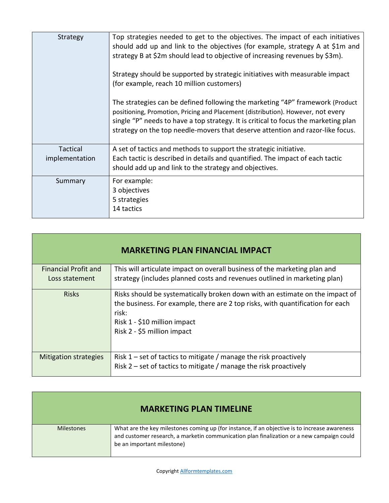| Strategy                   | Top strategies needed to get to the objectives. The impact of each initiatives<br>should add up and link to the objectives (for example, strategy A at \$1m and<br>strategy B at \$2m should lead to objective of increasing revenues by \$3m).<br>Strategy should be supported by strategic initiatives with measurable impact<br>(for example, reach 10 million customers)<br>The strategies can be defined following the marketing "4P" framework (Product<br>positioning, Promotion, Pricing and Placement (distribution). However, not every<br>single "P" needs to have a top strategy. It is critical to focus the marketing plan<br>strategy on the top needle-movers that deserve attention and razor-like focus. |
|----------------------------|----------------------------------------------------------------------------------------------------------------------------------------------------------------------------------------------------------------------------------------------------------------------------------------------------------------------------------------------------------------------------------------------------------------------------------------------------------------------------------------------------------------------------------------------------------------------------------------------------------------------------------------------------------------------------------------------------------------------------|
| Tactical<br>implementation | A set of tactics and methods to support the strategic initiative.<br>Each tactic is described in details and quantified. The impact of each tactic<br>should add up and link to the strategy and objectives.                                                                                                                                                                                                                                                                                                                                                                                                                                                                                                               |
| Summary                    | For example:<br>3 objectives<br>5 strategies<br>14 tactics                                                                                                                                                                                                                                                                                                                                                                                                                                                                                                                                                                                                                                                                 |

| <b>MARKETING PLAN FINANCIAL IMPACT</b>        |                                                                                                                                                                                                                                        |
|-----------------------------------------------|----------------------------------------------------------------------------------------------------------------------------------------------------------------------------------------------------------------------------------------|
| <b>Financial Profit and</b><br>Loss statement | This will articulate impact on overall business of the marketing plan and<br>strategy (includes planned costs and revenues outlined in marketing plan)                                                                                 |
| <b>Risks</b>                                  | Risks should be systematically broken down with an estimate on the impact of<br>the business. For example, there are 2 top risks, with quantification for each<br>risk:<br>Risk 1 - \$10 million impact<br>Risk 2 - \$5 million impact |
| <b>Mitigation strategies</b>                  | Risk 1 – set of tactics to mitigate / manage the risk proactively<br>Risk 2 – set of tactics to mitigate / manage the risk proactively                                                                                                 |

| <b>MARKETING PLAN TIMELINE</b> |                                                                                                                                                                                                                          |
|--------------------------------|--------------------------------------------------------------------------------------------------------------------------------------------------------------------------------------------------------------------------|
| <b>Milestones</b>              | What are the key milestones coming up (for instance, if an objective is to increase awareness<br>and customer research, a marketin communication plan finalization or a new campaign could<br>be an important milestone) |